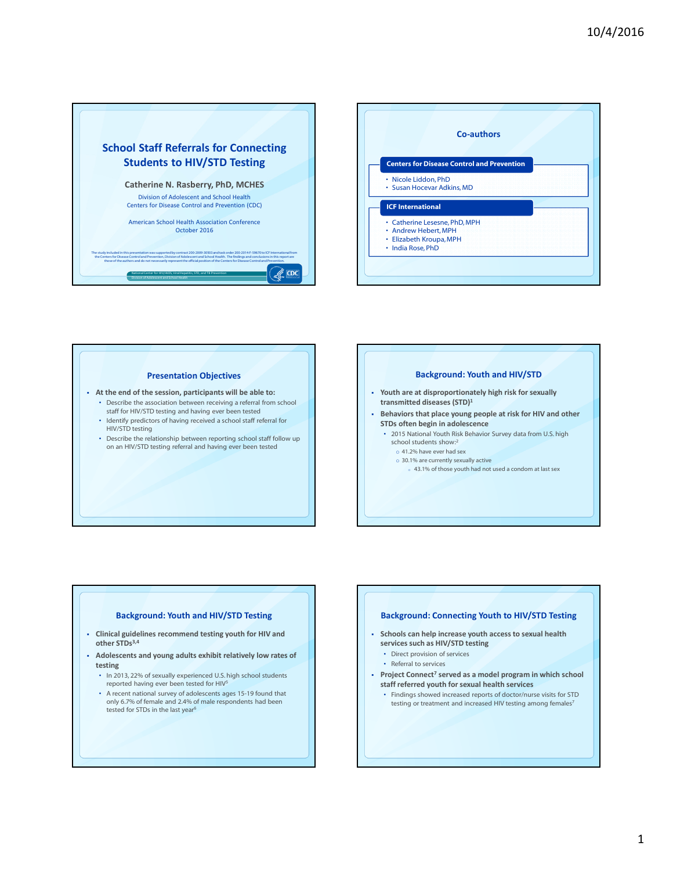



## Presentation Objectives

- At the end of the session, participants will be able to:
	- Describe the association between receiving a referral from school staff for HIV/STD testing and having ever been tested
	- Identify predictors of having received a school staff referral for HIV/STD testing
	- Describe the relationship between reporting school staff follow up on an HIV/STD testing referral and having ever been tested

#### Background: Youth and HIV/STD

- Youth are at disproportionately high risk for sexually transmitted diseases (STD)<sup>1</sup>
- Behaviors that place young people at risk for HIV and other STDs often begin in adolescence
	- 2015 National Youth Risk Behavior Survey data from U.S. high school students show:<sup>2</sup>
		- o 41.2% have ever had sex
		- o 30.1% are currently sexually active
		- o 43.1% of those youth had not used a condom at last sex

### Background: Youth and HIV/STD Testing

- Clinical guidelines recommend testing youth for HIV and other STDs<sup>3,4</sup>
- Adolescents and young adults exhibit relatively low rates of testing
	- In 2013, 22% of sexually experienced U.S. high school students reported having ever been tested for HIV<sup>5</sup>
	- A recent national survey of adolescents ages 15-19 found that only 6.7% of female and 2.4% of male respondents had been tested for STDs in the last year<sup>6</sup>

## Background: Connecting Youth to HIV/STD Testing

- Schools can help increase youth access to sexual health services such as HIV/STD testing
	- Direct provision of services
	- Referral to services
- Project Connect<sup>7</sup> served as a model program in which school staff referred youth for sexual health services
	- Findings showed increased reports of doctor/nurse visits for STD testing or treatment and increased HIV testing among females<sup>7</sup>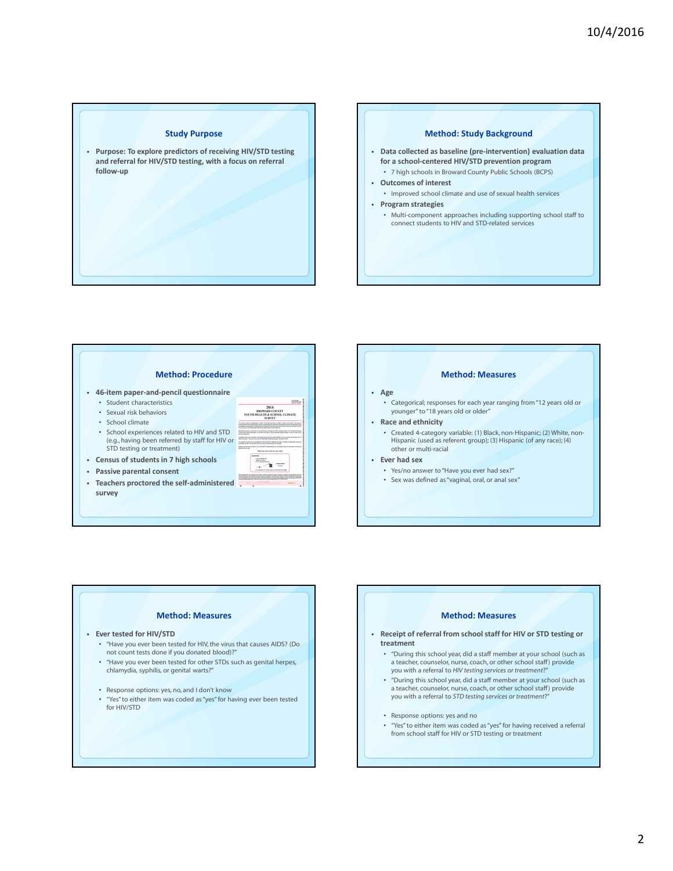#### Study Purpose

 Purpose: To explore predictors of receiving HIV/STD testing and referral for HIV/STD testing, with a focus on referral follow-up

## Method: Study Background

- Data collected as baseline (pre-intervention) evaluation data for a school-centered HIV/STD prevention program • 7 high schools in Broward County Public Schools (BCPS)
- Outcomes of interest
- Improved school climate and use of sexual health services

#### • Program strategies

• Multi-component approaches including supporting school staff to connect students to HIV and STD-related services

#### Method: Procedure

- 46-item paper-and-pencil questionnaire
	- Student characteristics
	- Sexual risk behaviors
	- School climate
	- School experiences related to HIV and STD (e.g., having been referred by staff for HIV or STD testing or treatment)
- Census of students in 7 high schools
- Passive parental consent
- $\blacksquare$  Teachers proctored the self-administered  $\blacksquare$ survey

## Method: Measures • Categorical; responses for each year ranging from "12 years old or younger" to "18 years old or older" Race and ethnicity • Created 4-category variable: (1) Black, non-Hispanic; (2) White, non-Hispanic (used as referent group); (3) Hispanic (of any race); (4) other or multi-racial

Ever had sex

Age

ass. 2014<br>WARD COUNTY<br>TH & SCHOOL CLIMATE .<br>Pra avanj k Kind por koprikista il antoni. Ta povijesta kind a surike di troja a por objecti Tarono<br>kondi (K.C. drevensa) vone kopito urben, aspravna ski masurant kretačnjegova denomna kritacija<br>K por object in tretačnim

- Yes/no answer to "Have you ever had sex?"
- Sex was defined as "vaginal, oral, or anal sex"

# Method: Measures

- Ever tested for HIV/STD
	- "Have you ever been tested for HIV, the virus that causes AIDS? (Do not count tests done if you donated blood)?"
	- "Have you ever been tested for other STDs such as genital herpes, chlamydia, syphilis, or genital warts?"
	- Response options: yes, no, and I don't know
	- "Yes" to either item was coded as "yes" for having ever been tested for HIV/STD

## Method: Measures

- Receipt of referral from school staff for HIV or STD testing or treatment
	- "During this school year, did a staff member at your school (such as a teacher, counselor, nurse, coach, or other school staff) provide you with a referral to HIV testing services or treatment?"
	- "During this school year, did a staff member at your school (such as a teacher, counselor, nurse, coach, or other school staff) provide you with a referral to STD testing services or treatment?"
	- Response options: yes and no
	- "Yes" to either item was coded as "yes" for having received a referral from school staff for HIV or STD testing or treatment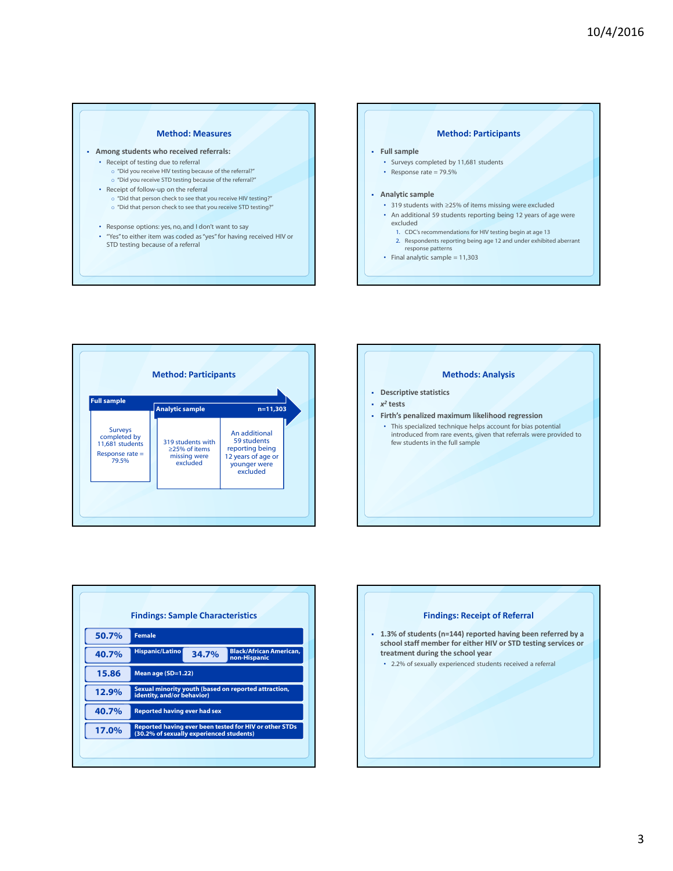#### Method: Measures

- Among students who received referrals: • Receipt of testing due to referral
	- o "Did you receive HIV testing because of the referral?"
	- o "Did you receive STD testing because of the referral?"
	- Receipt of follow-up on the referral
		- $\circ$  "Did that person check to see that you receive HIV testing?"
		- o "Did that person check to see that you receive STD testing?"
	- Response options: yes, no, and I don't want to say
	- "Yes" to either item was coded as "yes" for having received HIV or STD testing because of a referral

#### Method: Participants

#### Full sample

- Surveys completed by 11,681 students
- Response rate  $= 79.5\%$

#### Analytic sample

- 319 students with ≥25% of items missing were excluded
- An additional 59 students reporting being 12 years of age were
- excluded 1. CDC's recommendations for HIV testing begin at age 13
- 2. Respondents reporting being age 12 and under exhibited aberrant
- response patterns
- Final analytic sample  $= 11,303$

| <b>Full sample</b>                                                            | <b>Method: Participants</b><br><b>Analytic sample</b>          | $n=11,303$                                                                                        |
|-------------------------------------------------------------------------------|----------------------------------------------------------------|---------------------------------------------------------------------------------------------------|
| <b>Surveys</b><br>completed by<br>11,681 students<br>Response rate =<br>79.5% | 319 students with<br>>25% of items<br>missing were<br>excluded | An additional<br>59 students<br>reporting being<br>12 years of age or<br>younger were<br>excluded |
|                                                                               |                                                                |                                                                                                   |

# Methods: Analysis **Descriptive statistics**  $\cdot$   $x^2$  tests Firth's penalized maximum likelihood regression • This specialized technique helps account for bias potential introduced from rare events, given that referrals were provided to few students in the full sample

|       | <b>Findings: Sample Characteristics</b>                                                            |       |                                                |  |
|-------|----------------------------------------------------------------------------------------------------|-------|------------------------------------------------|--|
| 50.7% | <b>Female</b>                                                                                      |       |                                                |  |
| 40.7% | <b>Hispanic/Latino</b>                                                                             | 34.7% | <b>Black/African American.</b><br>non-Hispanic |  |
| 15.86 | Mean age (SD=1.22)                                                                                 |       |                                                |  |
| 12.9% | Sexual minority youth (based on reported attraction,<br>identity, and/or behavior)                 |       |                                                |  |
| 40.7% | <b>Reported having ever had sex</b>                                                                |       |                                                |  |
| 17.0% | Reported having ever been tested for HIV or other STDs<br>(30.2% of sexually experienced students) |       |                                                |  |
|       |                                                                                                    |       |                                                |  |

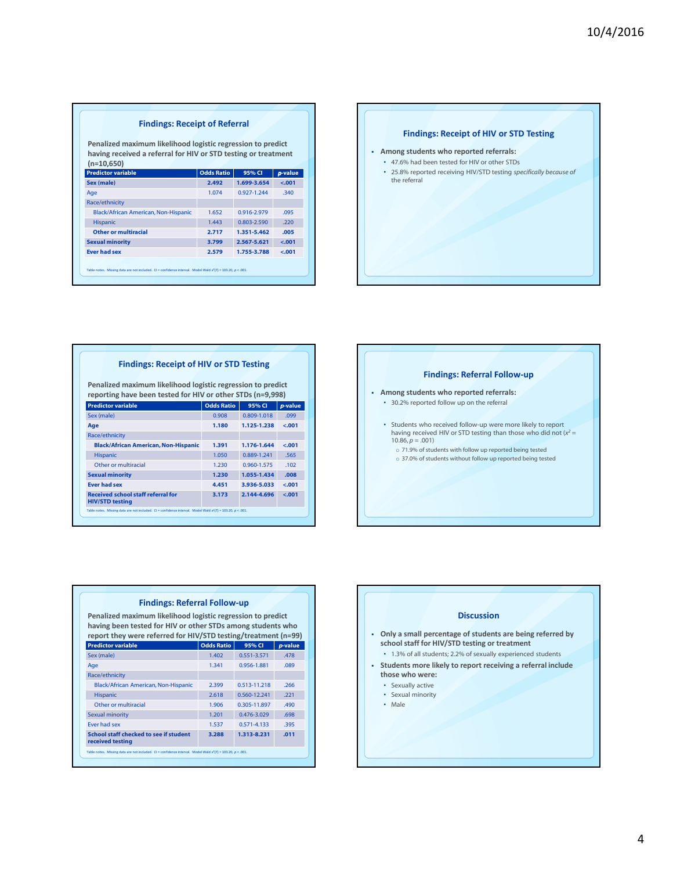#### Findings: Receipt of Referral

Penalized maximum likelihood logistic regression to predict having received a referral for HIV or STD testing or treatment  $(n=10,650)$ 

| 2.492 |                 |                                                                                                                  |
|-------|-----------------|------------------------------------------------------------------------------------------------------------------|
|       | 1.699-3.654     | $-.001$                                                                                                          |
| 1.074 | $0.927 - 1.244$ | .340                                                                                                             |
|       |                 |                                                                                                                  |
| 1.652 | 0.916-2.979     | .095                                                                                                             |
| 1.443 | 0.803-2.590     | .220                                                                                                             |
| 2.717 | 1.351-5.462     | .005                                                                                                             |
| 3.799 | 2.567-5.621     | $-.001$                                                                                                          |
| 2.579 | 1.755-3.788     | $-.001$                                                                                                          |
|       |                 |                                                                                                                  |
|       |                 | Table notes. Missing data are not included. CI = confidence interval. Model Wald $x^2(7)$ = 103.20, $p < .001$ . |



## Findings: Receipt of HIV or STD Testing

Penalized maximum likelihood logistic regression to predict reporting have been tested for HIV or other STDs (n=9,998)

| <b>Predictor variable</b>                                                                                               | <b>Odds Ratio</b> | 95% CI      | p-value |
|-------------------------------------------------------------------------------------------------------------------------|-------------------|-------------|---------|
| Sex (male)                                                                                                              | 0.908             | 0.809-1.018 | .099    |
| Age                                                                                                                     | 1.180             | 1.125-1.238 | $-.001$ |
| Race/ethnicity                                                                                                          |                   |             |         |
| <b>Black/African American, Non-Hispanic</b>                                                                             | 1.391             | 1.176-1.644 | $-.001$ |
| <b>Hispanic</b>                                                                                                         | 1.050             | 0.889-1.241 | .565    |
| Other or multiracial                                                                                                    | 1.230             | 0.960-1.575 | .102    |
| <b>Sexual minority</b>                                                                                                  | 1.230             | 1.055-1.434 | .008    |
| <b>Ever had sex</b>                                                                                                     | 4.451             | 3.936-5.033 | $-.001$ |
| <b>Received school staff referral for</b><br><b>HIV/STD testing</b>                                                     | 3.173             | 2.144-4.696 | $-.001$ |
| Table notes. Missing data are not included. CI = confidence interval. Model Wald x <sup>2</sup> (7) = 103.20, p < .001. |                   |             |         |

|                                             | <b>Findings: Referral Follow-up</b>                                                                                                                                                                                 |  |  |  |  |
|---------------------------------------------|---------------------------------------------------------------------------------------------------------------------------------------------------------------------------------------------------------------------|--|--|--|--|
| Among students who reported referrals:<br>٠ |                                                                                                                                                                                                                     |  |  |  |  |
|                                             | • 30.2% reported follow up on the referral                                                                                                                                                                          |  |  |  |  |
|                                             | • Students who received follow-up were more likely to report<br>having received HIV or STD testing than those who did not $(x^2 =$<br>$10.86, p = .001$<br>o 71.9% of students with follow up reported being tested |  |  |  |  |
|                                             | o 37.0% of students without follow up reported being tested                                                                                                                                                         |  |  |  |  |
|                                             |                                                                                                                                                                                                                     |  |  |  |  |

| Penalized maximum likelihood logistic regression to predict<br>having been tested for HIV or other STDs among students who<br>report they were referred for HIV/STD testing/treatment (n=99) |                   |              |         |
|----------------------------------------------------------------------------------------------------------------------------------------------------------------------------------------------|-------------------|--------------|---------|
| <b>Predictor variable</b>                                                                                                                                                                    | <b>Odds Ratio</b> | 95% CI       | p-value |
| Sex (male)                                                                                                                                                                                   | 1.402             | 0.551-3.571  | .478    |
| Age                                                                                                                                                                                          | 1341              | 0.956-1.881  | .089    |
| Race/ethnicity                                                                                                                                                                               |                   |              |         |
| Black/African American, Non-Hispanic                                                                                                                                                         | 2.399             | 0.513-11.218 | 266     |
| <b>Hispanic</b>                                                                                                                                                                              | 2.618             | 0.560-12.241 | 221     |
| Other or multiracial                                                                                                                                                                         | 1.906             | 0.305-11.897 | .490    |
| <b>Sexual minority</b>                                                                                                                                                                       | 1.201             | 0.476-3.029  | .698    |
| Ever had sex                                                                                                                                                                                 | 1.537             | 0.571-4.133  | .395    |
| School staff checked to see if student<br>received testing                                                                                                                                   | 3.288             | 1.313-8.231  | .011    |

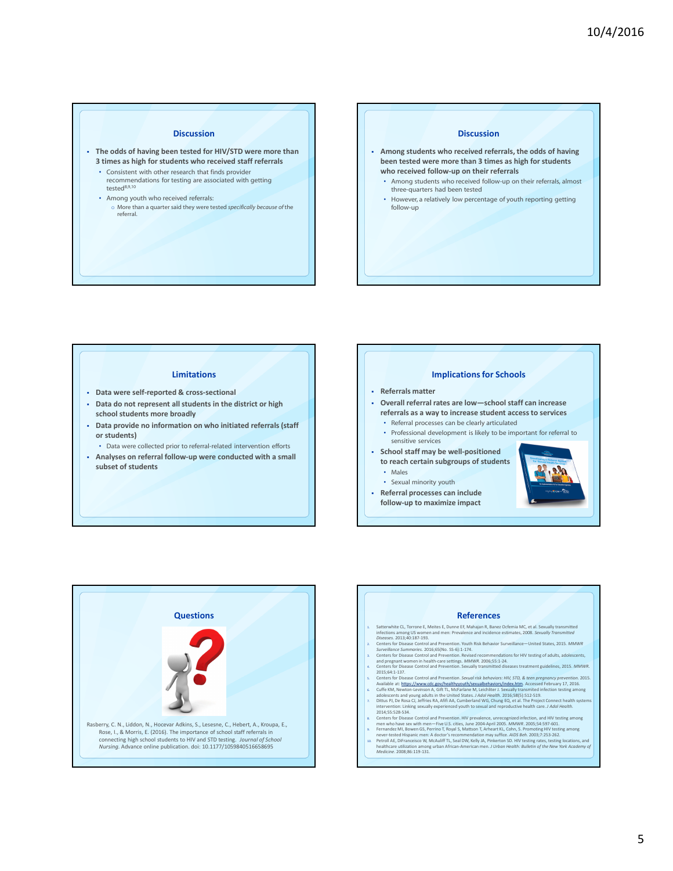#### Discussion

- The odds of having been tested for HIV/STD were more than 3 times as high for students who received staff referrals
	- Consistent with other research that finds provider recommendations for testing are associated with getting tested8,9,10
	- Among youth who received referrals:
	- o More than a quarter said they were tested specifically because of the referral.

### Discussion

- Among students who received referrals, the odds of having been tested were more than 3 times as high for students who received follow-up on their referrals
	- Among students who received follow-up on their referrals, almost three-quarters had been tested
	- However, a relatively low percentage of youth reporting getting follow-up

#### Limitations

- Data were self-reported & cross-sectional
- Data do not represent all students in the district or high school students more broadly
- Data provide no information on who initiated referrals (staff or students)
	- Data were collected prior to referral-related intervention efforts
- Analyses on referral follow-up were conducted with a small subset of students

#### Implications for Schools

- Referrals matter
- Overall referral rates are low—school staff can increase referrals as a way to increase student access to services
	- Referral processes can be clearly articulated
	- Professional development is likely to be important for referral to sensitive services
- School staff may be well-positioned to reach certain subgroups of students • Males
	-
	- Sexual minority youth
- Referral processes can include follow-up to maximize impact





#### References

- 
- $\label{thm:main} \begin{minipage}[t]{0.9\textwidth} \begin{minipage}[t]{0.9\textwidth} \begin{minipage}[t]{0.9\textwidth} \begin{minipage}[t]{0.9\textwidth} \begin{minipage}[t]{0.9\textwidth} \begin{minipage}[t]{0.9\textwidth} \begin{minipage}[t]{0.9\textwidth} \begin{minipage}[t]{0.9\textwidth} \begin{minipage}[t]{0.9\textwidth} \begin{minipage}[t]{0.9\textwidth} \begin{minipage}[t]{0.9\textwidth} \begin{minipage}[t]{0.9\textwidth} \begin{minipage}[t]{0.9\textwidth} \begin{min$
- 
- and pregnant women in health-care settings. MMWR. 2006;55:1-24. 4. Centers for Disease Control and Prevention. Sexually transmitted diseases treatment guidelines, 2015. MMWR.
- 2015;64:1-137.<br>
2015;64:1-137. Centers for Disease Control and Prevention. Sexual risk behaviors: HIV, STD, & teen pregnancy prevention. 2015.<br>
Available at : https://www.cdc.gov/heathtwyoutli/sexualblehaviors/index.html,
- 
- intervention: Linking sexually experienced youth to sexual and reproductive health care. *J Adol Health.*<br>2014;55:528-534.
- 
- s. Centers for Disease Control and Prevention. Hilly prevalence, unrecognized infection, and HIV testing among<br>men who have sex with men  $-\text{Fwe U.S.}$  cities, June 2004-April 2005. MMWR: 2005;54:597-601.<br>9. Fernandez MI, Bow